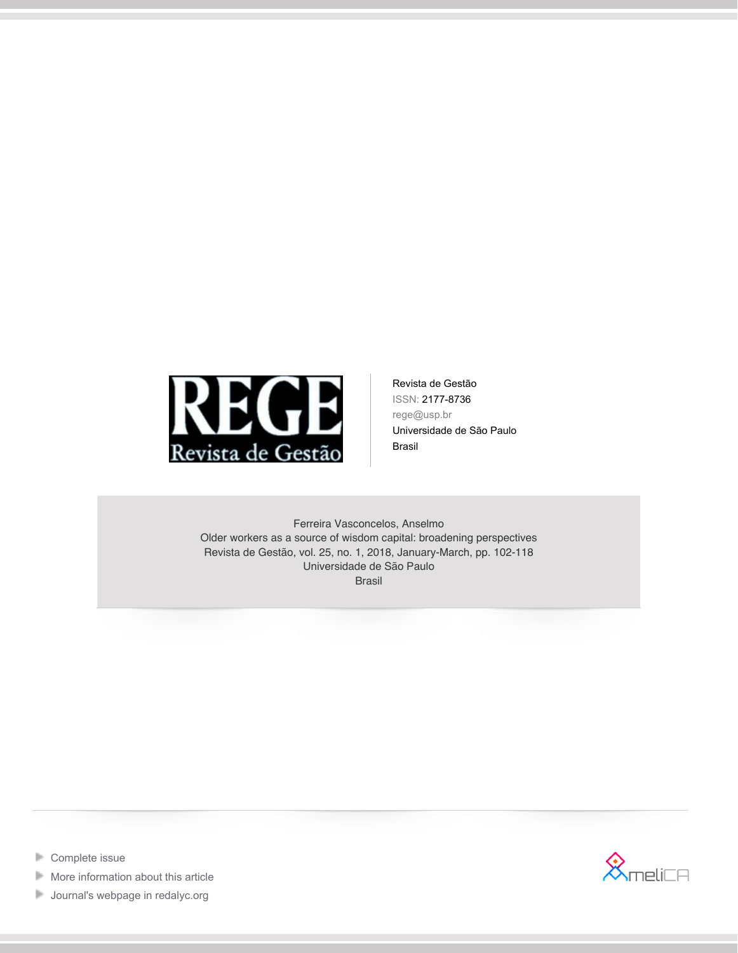

Revista de Gestão ISSN: 2177-8736 rege@usp.br Universidade de São Paulo Brasil

Ferreira Vasconcelos, Anselmo Older workers as a source of wisdom capital: broadening perspectives Revista de Gestão, vol. 25, no. 1, 2018, January-March, pp. 102-118 Universidade de São Paulo Brasil



- **[Complete issue](http://portal.amelica.org/revista.oa?id=154&numero=819)**
- Þ [More information about this article](http://portal.amelica.org/ameli/jatsRepo/154/154819007)
- **[Journal's webpage in redalyc.org](http://portal.amelica.org/revista.oa?id=154)**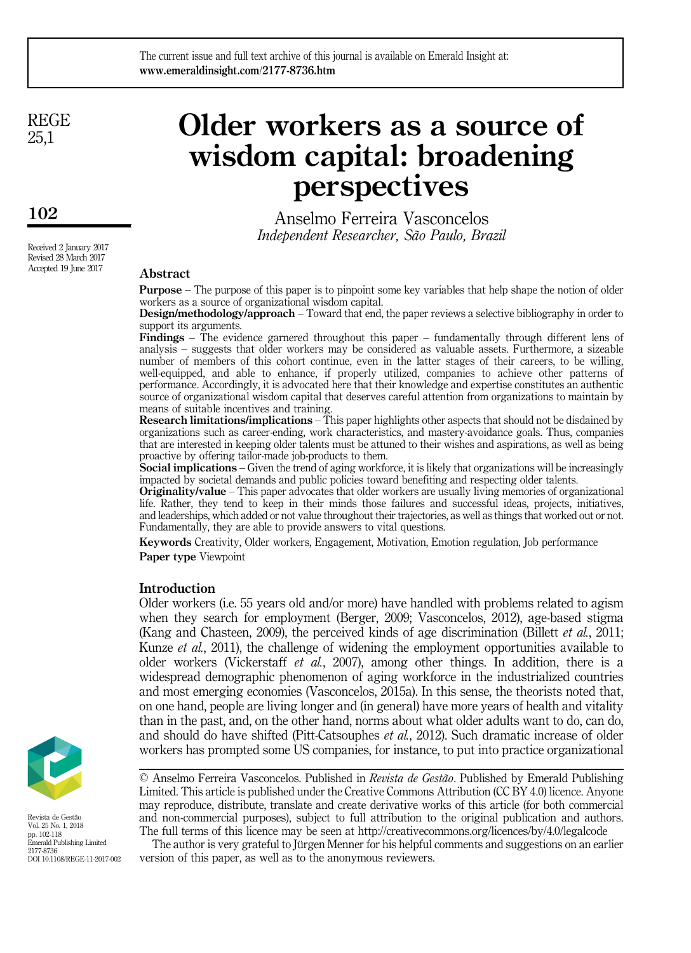REGE 25,1

# Older workers as a source of wisdom capital: broadening perspectives

Anselmo Ferreira Vasconcelos Independent Researcher, São Paulo, Brazil

## Abstract

Purpose – The purpose of this paper is to pinpoint some key variables that help shape the notion of older workers as a source of organizational wisdom capital.

Design/methodology/approach – Toward that end, the paper reviews a selective bibliography in order to support its arguments.

Findings – The evidence garnered throughout this paper – fundamentally through different lens of analysis – suggests that older workers may be considered as valuable assets. Furthermore, a sizeable number of members of this cohort continue, even in the latter stages of their careers, to be willing, well-equipped, and able to enhance, if properly utilized, companies to achieve other patterns of performance. Accordingly, it is advocated here that their knowledge and expertise constitutes an authentic source of organizational wisdom capital that deserves careful attention from organizations to maintain by means of suitable incentives and training.

Research limitations/implications – This paper highlights other aspects that should not be disdained by organizations such as career-ending, work characteristics, and mastery-avoidance goals. Thus, companies that are interested in keeping older talents must be attuned to their wishes and aspirations, as well as being proactive by offering tailor-made job-products to them.

Social implications – Given the trend of aging workforce, it is likely that organizations will be increasingly impacted by societal demands and public policies toward benefiting and respecting older talents.

**Originality/value** – This paper advocates that older workers are usually living memories of organizational life. Rather, they tend to keep in their minds those failures and successful ideas, projects, initiatives, and leaderships, which added or not value throughout their trajectories, as well as things that worked out or not. Fundamentally, they are able to provide answers to vital questions.

Keywords Creativity, Older workers, Engagement, Motivation, Emotion regulation, Job performance Paper type Viewpoint

#### **Introduction**

Older workers (i.e. 55 years old and/or more) have handled with problems related to agism when they search for employment (Berger, 2009; Vasconcelos, 2012), age-based stigma (Kang and Chasteen, 2009), the perceived kinds of age discrimination (Billett *et al.*, 2011; Kunze et al., 2011), the challenge of widening the employment opportunities available to older workers (Vickerstaff et al., 2007), among other things. In addition, there is a widespread demographic phenomenon of aging workforce in the industrialized countries and most emerging economies (Vasconcelos, 2015a). In this sense, the theorists noted that, on one hand, people are living longer and (in general) have more years of health and vitality than in the past, and, on the other hand, norms about what older adults want to do, can do, and should do have shifted (Pitt-Catsouphes et al., 2012). Such dramatic increase of older workers has prompted some US companies, for instance, to put into practice organizational



Revista de Gestão Vol. 25 No. 1, 2018 pp. 102-118 Emerald Publishing Limited 2177-8736 DOI 10.1108/REGE-11-2017-002  $\heartsuit$  Anselmo Ferreira Vasconcelos. Published in *Revista de Gestão*. Published by Emerald Publishing Limited. This article is published under the Creative Commons Attribution (CC BY 4.0) licence. Anyone may reproduce, distribute, translate and create derivative works of this article (for both commercial and non-commercial purposes), subject to full attribution to the original publication and authors. The full terms of this licence may be seen at<http://creativecommons.org/licences/by/4.0/legalcode>

The author is very grateful to Jürgen Menner for his helpful comments and suggestions on an earlier version of this paper, as well as to the anonymous reviewers.

Received 2 January 2017 Revised 28 March 2017 Accepted 19 June 2017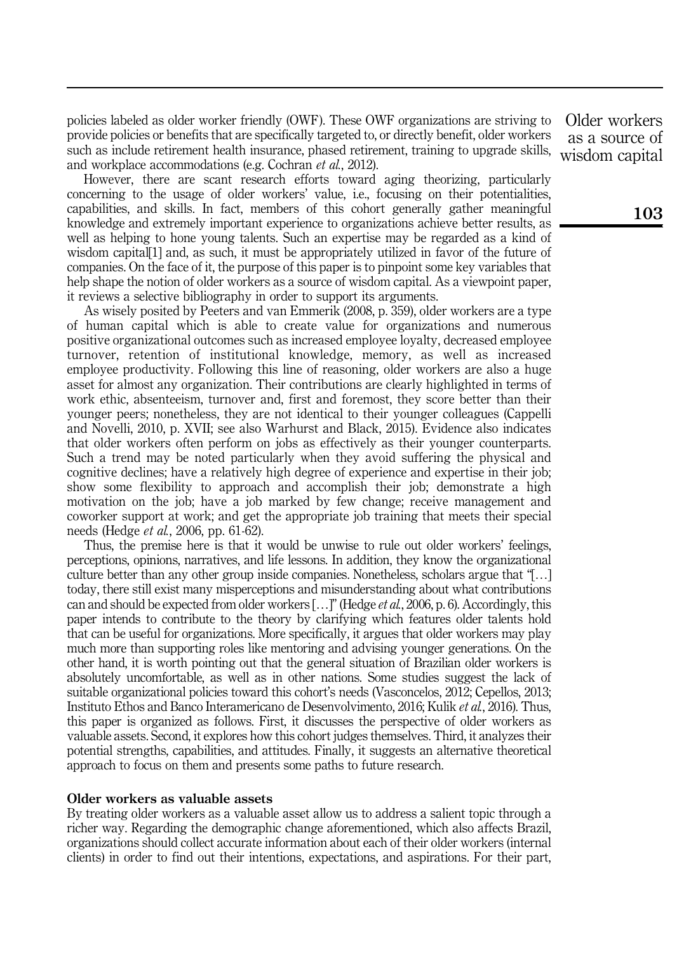policies labeled as older worker friendly (OWF). These OWF organizations are striving to provide policies or benefits that are specifically targeted to, or directly benefit, older workers such as include retirement health insurance, phased retirement, training to upgrade skills, and workplace accommodations (e.g. Cochran *et al.*, 2012).

However, there are scant research efforts toward aging theorizing, particularly concerning to the usage of older workers' value, i.e., focusing on their potentialities, capabilities, and skills. In fact, members of this cohort generally gather meaningful knowledge and extremely important experience to organizations achieve better results, as well as helping to hone young talents. Such an expertise may be regarded as a kind of wisdom capital[1] and, as such, it must be appropriately utilized in favor of the future of companies. On the face of it, the purpose of this paper is to pinpoint some key variables that help shape the notion of older workers as a source of wisdom capital. As a viewpoint paper, it reviews a selective bibliography in order to support its arguments.

As wisely posited by Peeters and van Emmerik (2008, p. 359), older workers are a type of human capital which is able to create value for organizations and numerous positive organizational outcomes such as increased employee loyalty, decreased employee turnover, retention of institutional knowledge, memory, as well as increased employee productivity. Following this line of reasoning, older workers are also a huge asset for almost any organization. Their contributions are clearly highlighted in terms of work ethic, absenteeism, turnover and, first and foremost, they score better than their younger peers; nonetheless, they are not identical to their younger colleagues (Cappelli and Novelli, 2010, p. XVII; see also Warhurst and Black, 2015). Evidence also indicates that older workers often perform on jobs as effectively as their younger counterparts. Such a trend may be noted particularly when they avoid suffering the physical and cognitive declines; have a relatively high degree of experience and expertise in their job; show some flexibility to approach and accomplish their job; demonstrate a high motivation on the job; have a job marked by few change; receive management and coworker support at work; and get the appropriate job training that meets their special needs (Hedge et al., 2006, pp. 61-62).

Thus, the premise here is that it would be unwise to rule out older workers' feelings, perceptions, opinions, narratives, and life lessons. In addition, they know the organizational culture better than any other group inside companies. Nonetheless, scholars argue that "[…] today, there still exist many misperceptions and misunderstanding about what contributions can and should be expected from older workers  $[\dots]$ " (Hedge *et al.*, 2006, p. 6). Accordingly, this paper intends to contribute to the theory by clarifying which features older talents hold that can be useful for organizations. More specifically, it argues that older workers may play much more than supporting roles like mentoring and advising younger generations. On the other hand, it is worth pointing out that the general situation of Brazilian older workers is absolutely uncomfortable, as well as in other nations. Some studies suggest the lack of suitable organizational policies toward this cohort's needs (Vasconcelos, 2012; Cepellos, 2013; Instituto Ethos and Banco Interamericano de Desenvolvimento, 2016; Kulik et al., 2016). Thus, this paper is organized as follows. First, it discusses the perspective of older workers as valuable assets. Second, it explores how this cohort judges themselves. Third, it analyzes their potential strengths, capabilities, and attitudes. Finally, it suggests an alternative theoretical approach to focus on them and presents some paths to future research.

## Older workers as valuable assets

By treating older workers as a valuable asset allow us to address a salient topic through a richer way. Regarding the demographic change aforementioned, which also affects Brazil, organizations should collect accurate information about each of their older workers (internal clients) in order to find out their intentions, expectations, and aspirations. For their part,

Older workers as a source of wisdom capital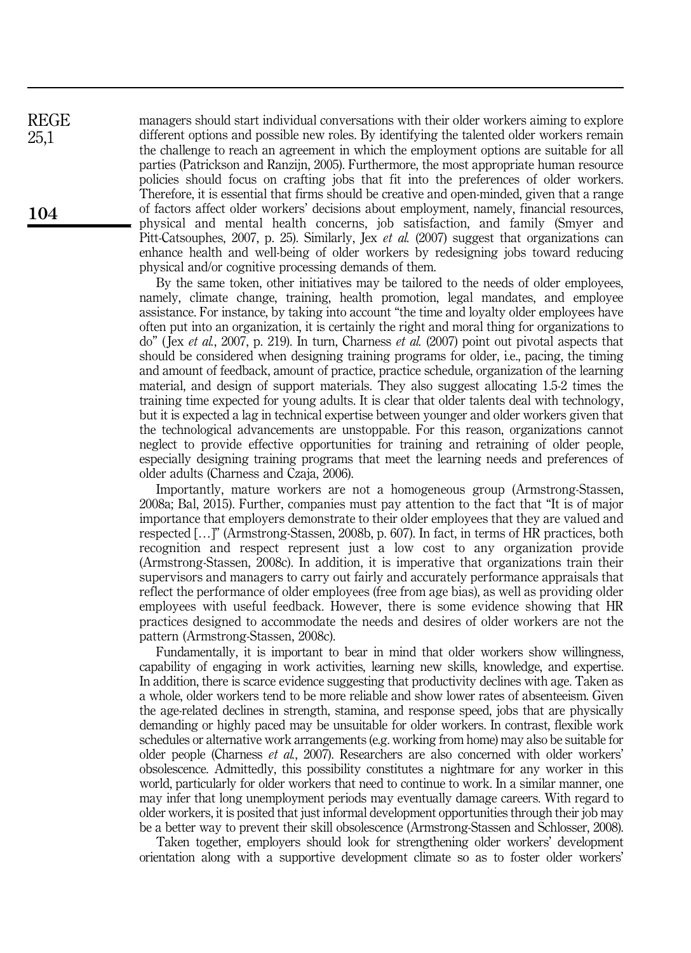managers should start individual conversations with their older workers aiming to explore different options and possible new roles. By identifying the talented older workers remain the challenge to reach an agreement in which the employment options are suitable for all parties (Patrickson and Ranzijn, 2005). Furthermore, the most appropriate human resource policies should focus on crafting jobs that fit into the preferences of older workers. Therefore, it is essential that firms should be creative and open-minded, given that a range of factors affect older workers' decisions about employment, namely, financial resources, physical and mental health concerns, job satisfaction, and family (Smyer and Pitt-Catsouphes, 2007, p. 25). Similarly, Jex et al. (2007) suggest that organizations can enhance health and well-being of older workers by redesigning jobs toward reducing physical and/or cognitive processing demands of them.

By the same token, other initiatives may be tailored to the needs of older employees, namely, climate change, training, health promotion, legal mandates, and employee assistance. For instance, by taking into account "the time and loyalty older employees have often put into an organization, it is certainly the right and moral thing for organizations to do" (Jex et al., 2007, p. 219). In turn, Charness et al. (2007) point out pivotal aspects that should be considered when designing training programs for older, i.e., pacing, the timing and amount of feedback, amount of practice, practice schedule, organization of the learning material, and design of support materials. They also suggest allocating 1.5-2 times the training time expected for young adults. It is clear that older talents deal with technology, but it is expected a lag in technical expertise between younger and older workers given that the technological advancements are unstoppable. For this reason, organizations cannot neglect to provide effective opportunities for training and retraining of older people, especially designing training programs that meet the learning needs and preferences of older adults (Charness and Czaja, 2006).

Importantly, mature workers are not a homogeneous group (Armstrong-Stassen, 2008a; Bal, 2015). Further, companies must pay attention to the fact that "It is of major importance that employers demonstrate to their older employees that they are valued and respected […]" (Armstrong-Stassen, 2008b, p. 607). In fact, in terms of HR practices, both recognition and respect represent just a low cost to any organization provide (Armstrong-Stassen, 2008c). In addition, it is imperative that organizations train their supervisors and managers to carry out fairly and accurately performance appraisals that reflect the performance of older employees (free from age bias), as well as providing older employees with useful feedback. However, there is some evidence showing that HR practices designed to accommodate the needs and desires of older workers are not the pattern (Armstrong-Stassen, 2008c).

Fundamentally, it is important to bear in mind that older workers show willingness, capability of engaging in work activities, learning new skills, knowledge, and expertise. In addition, there is scarce evidence suggesting that productivity declines with age. Taken as a whole, older workers tend to be more reliable and show lower rates of absenteeism. Given the age-related declines in strength, stamina, and response speed, jobs that are physically demanding or highly paced may be unsuitable for older workers. In contrast, flexible work schedules or alternative work arrangements (e.g. working from home) may also be suitable for older people (Charness et al., 2007). Researchers are also concerned with older workers' obsolescence. Admittedly, this possibility constitutes a nightmare for any worker in this world, particularly for older workers that need to continue to work. In a similar manner, one may infer that long unemployment periods may eventually damage careers. With regard to older workers, it is posited that just informal development opportunities through their job may be a better way to prevent their skill obsolescence (Armstrong-Stassen and Schlosser, 2008).

Taken together, employers should look for strengthening older workers' development orientation along with a supportive development climate so as to foster older workers'

104

REGE 25,1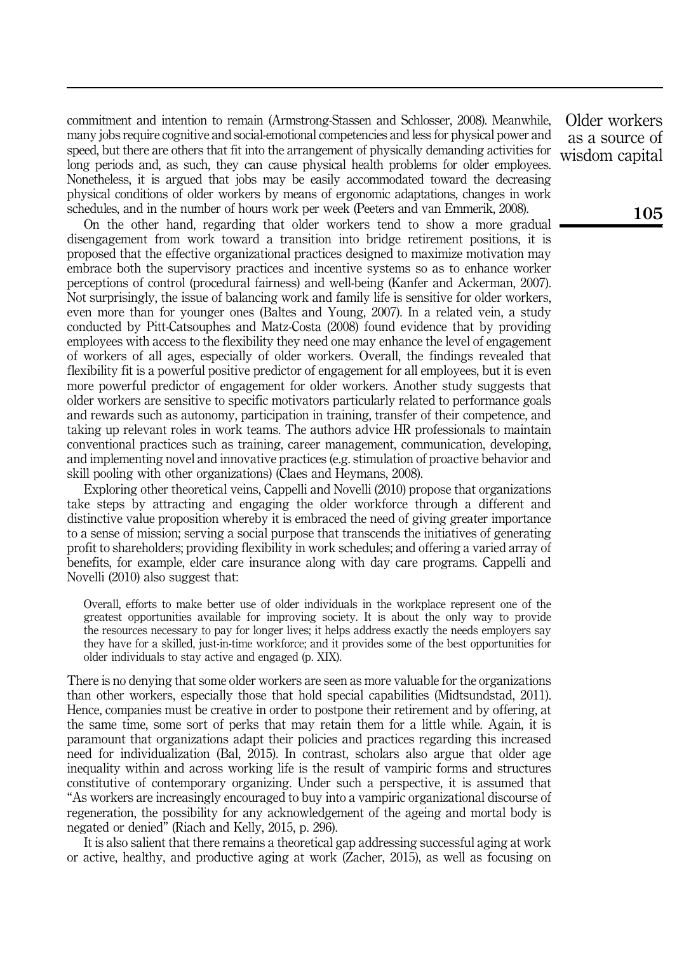commitment and intention to remain (Armstrong-Stassen and Schlosser, 2008). Meanwhile, many jobs require cognitive and social-emotional competencies and less for physical power and speed, but there are others that fit into the arrangement of physically demanding activities for long periods and, as such, they can cause physical health problems for older employees. Nonetheless, it is argued that jobs may be easily accommodated toward the decreasing physical conditions of older workers by means of ergonomic adaptations, changes in work schedules, and in the number of hours work per week (Peeters and van Emmerik, 2008).

On the other hand, regarding that older workers tend to show a more gradual disengagement from work toward a transition into bridge retirement positions, it is proposed that the effective organizational practices designed to maximize motivation may embrace both the supervisory practices and incentive systems so as to enhance worker perceptions of control (procedural fairness) and well-being (Kanfer and Ackerman, 2007). Not surprisingly, the issue of balancing work and family life is sensitive for older workers, even more than for younger ones (Baltes and Young, 2007). In a related vein, a study conducted by Pitt-Catsouphes and Matz-Costa (2008) found evidence that by providing employees with access to the flexibility they need one may enhance the level of engagement of workers of all ages, especially of older workers. Overall, the findings revealed that flexibility fit is a powerful positive predictor of engagement for all employees, but it is even more powerful predictor of engagement for older workers. Another study suggests that older workers are sensitive to specific motivators particularly related to performance goals and rewards such as autonomy, participation in training, transfer of their competence, and taking up relevant roles in work teams. The authors advice HR professionals to maintain conventional practices such as training, career management, communication, developing, and implementing novel and innovative practices (e.g. stimulation of proactive behavior and skill pooling with other organizations) (Claes and Heymans, 2008).

Exploring other theoretical veins, Cappelli and Novelli (2010) propose that organizations take steps by attracting and engaging the older workforce through a different and distinctive value proposition whereby it is embraced the need of giving greater importance to a sense of mission; serving a social purpose that transcends the initiatives of generating profit to shareholders; providing flexibility in work schedules; and offering a varied array of benefits, for example, elder care insurance along with day care programs. Cappelli and Novelli (2010) also suggest that:

Overall, efforts to make better use of older individuals in the workplace represent one of the greatest opportunities available for improving society. It is about the only way to provide the resources necessary to pay for longer lives; it helps address exactly the needs employers say they have for a skilled, just-in-time workforce; and it provides some of the best opportunities for older individuals to stay active and engaged (p. XIX).

There is no denying that some older workers are seen as more valuable for the organizations than other workers, especially those that hold special capabilities (Midtsundstad, 2011). Hence, companies must be creative in order to postpone their retirement and by offering, at the same time, some sort of perks that may retain them for a little while. Again, it is paramount that organizations adapt their policies and practices regarding this increased need for individualization (Bal, 2015). In contrast, scholars also argue that older age inequality within and across working life is the result of vampiric forms and structures constitutive of contemporary organizing. Under such a perspective, it is assumed that "As workers are increasingly encouraged to buy into a vampiric organizational discourse of regeneration, the possibility for any acknowledgement of the ageing and mortal body is negated or denied" (Riach and Kelly, 2015, p. 296).

It is also salient that there remains a theoretical gap addressing successful aging at work or active, healthy, and productive aging at work (Zacher, 2015), as well as focusing on

Older workers as a source of wisdom capital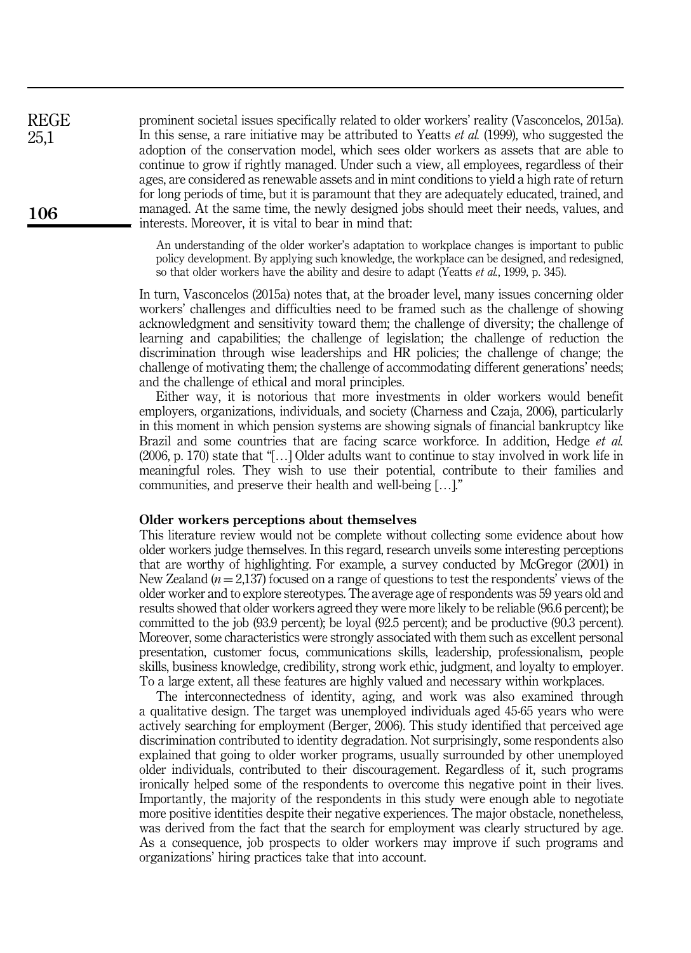prominent societal issues specifically related to older workers' reality (Vasconcelos, 2015a). In this sense, a rare initiative may be attributed to Yeatts *et al.* (1999), who suggested the adoption of the conservation model, which sees older workers as assets that are able to continue to grow if rightly managed. Under such a view, all employees, regardless of their ages, are considered as renewable assets and in mint conditions to yield a high rate of return for long periods of time, but it is paramount that they are adequately educated, trained, and managed. At the same time, the newly designed jobs should meet their needs, values, and interests. Moreover, it is vital to bear in mind that: REGE

> An understanding of the older worker's adaptation to workplace changes is important to public policy development. By applying such knowledge, the workplace can be designed, and redesigned, so that older workers have the ability and desire to adapt (Yeatts *et al.*, 1999, p. 345).

In turn, Vasconcelos (2015a) notes that, at the broader level, many issues concerning older workers' challenges and difficulties need to be framed such as the challenge of showing acknowledgment and sensitivity toward them; the challenge of diversity; the challenge of learning and capabilities; the challenge of legislation; the challenge of reduction the discrimination through wise leaderships and HR policies; the challenge of change; the challenge of motivating them; the challenge of accommodating different generations' needs; and the challenge of ethical and moral principles.

Either way, it is notorious that more investments in older workers would benefit employers, organizations, individuals, and society (Charness and Czaja, 2006), particularly in this moment in which pension systems are showing signals of financial bankruptcy like Brazil and some countries that are facing scarce workforce. In addition, Hedge *et al.* (2006, p. 170) state that "[…] Older adults want to continue to stay involved in work life in meaningful roles. They wish to use their potential, contribute to their families and communities, and preserve their health and well-being […]."

#### Older workers perceptions about themselves

106

25,1

This literature review would not be complete without collecting some evidence about how older workers judge themselves. In this regard, research unveils some interesting perceptions that are worthy of highlighting. For example, a survey conducted by McGregor (2001) in New Zealand  $(n = 2,137)$  focused on a range of questions to test the respondents' views of the older worker and to explore stereotypes. The average age of respondents was 59 years old and results showed that older workers agreed they were more likely to be reliable (96.6 percent); be committed to the job (93.9 percent); be loyal (92.5 percent); and be productive (90.3 percent). Moreover, some characteristics were strongly associated with them such as excellent personal presentation, customer focus, communications skills, leadership, professionalism, people skills, business knowledge, credibility, strong work ethic, judgment, and loyalty to employer. To a large extent, all these features are highly valued and necessary within workplaces.

The interconnectedness of identity, aging, and work was also examined through a qualitative design. The target was unemployed individuals aged 45-65 years who were actively searching for employment (Berger, 2006). This study identified that perceived age discrimination contributed to identity degradation. Not surprisingly, some respondents also explained that going to older worker programs, usually surrounded by other unemployed older individuals, contributed to their discouragement. Regardless of it, such programs ironically helped some of the respondents to overcome this negative point in their lives. Importantly, the majority of the respondents in this study were enough able to negotiate more positive identities despite their negative experiences. The major obstacle, nonetheless, was derived from the fact that the search for employment was clearly structured by age. As a consequence, job prospects to older workers may improve if such programs and organizations' hiring practices take that into account.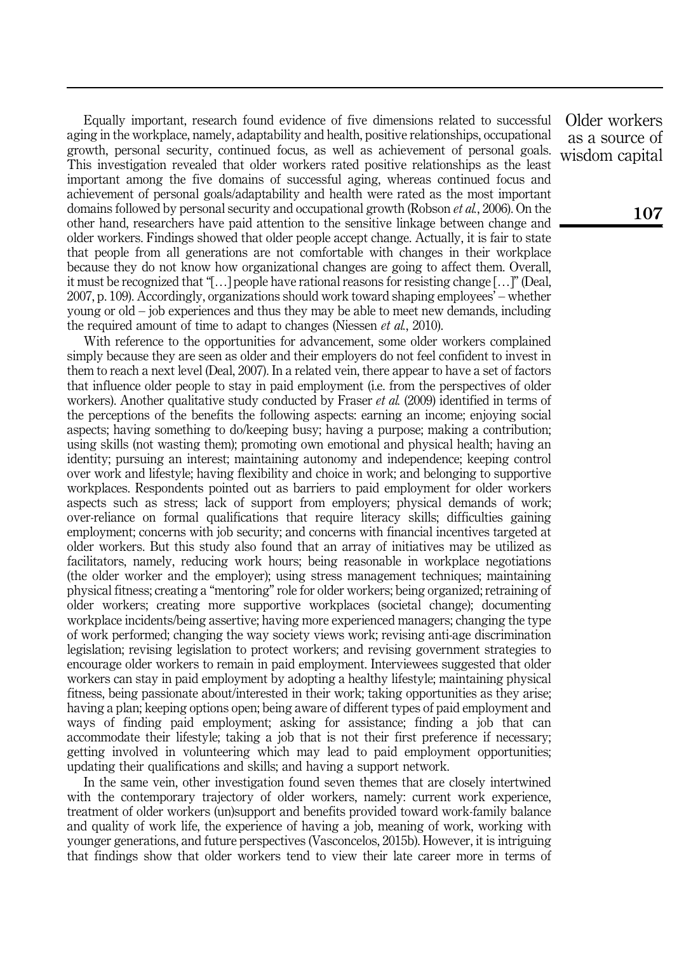Equally important, research found evidence of five dimensions related to successful aging in the workplace, namely, adaptability and health, positive relationships, occupational growth, personal security, continued focus, as well as achievement of personal goals. This investigation revealed that older workers rated positive relationships as the least important among the five domains of successful aging, whereas continued focus and achievement of personal goals/adaptability and health were rated as the most important domains followed by personal security and occupational growth (Robson *et al.*, 2006). On the other hand, researchers have paid attention to the sensitive linkage between change and older workers. Findings showed that older people accept change. Actually, it is fair to state that people from all generations are not comfortable with changes in their workplace because they do not know how organizational changes are going to affect them. Overall, it must be recognized that "[…] people have rational reasons for resisting change […]" (Deal, 2007, p. 109). Accordingly, organizations should work toward shaping employees' – whether young or old – job experiences and thus they may be able to meet new demands, including the required amount of time to adapt to changes (Niessen *et al.*, 2010).

With reference to the opportunities for advancement, some older workers complained simply because they are seen as older and their employers do not feel confident to invest in them to reach a next level (Deal, 2007). In a related vein, there appear to have a set of factors that influence older people to stay in paid employment (i.e. from the perspectives of older workers). Another qualitative study conducted by Fraser *et al.* (2009) identified in terms of the perceptions of the benefits the following aspects: earning an income; enjoying social aspects; having something to do/keeping busy; having a purpose; making a contribution; using skills (not wasting them); promoting own emotional and physical health; having an identity; pursuing an interest; maintaining autonomy and independence; keeping control over work and lifestyle; having flexibility and choice in work; and belonging to supportive workplaces. Respondents pointed out as barriers to paid employment for older workers aspects such as stress; lack of support from employers; physical demands of work; over-reliance on formal qualifications that require literacy skills; difficulties gaining employment; concerns with job security; and concerns with financial incentives targeted at older workers. But this study also found that an array of initiatives may be utilized as facilitators, namely, reducing work hours; being reasonable in workplace negotiations (the older worker and the employer); using stress management techniques; maintaining physical fitness; creating a "mentoring" role for older workers; being organized; retraining of older workers; creating more supportive workplaces (societal change); documenting workplace incidents/being assertive; having more experienced managers; changing the type of work performed; changing the way society views work; revising anti-age discrimination legislation; revising legislation to protect workers; and revising government strategies to encourage older workers to remain in paid employment. Interviewees suggested that older workers can stay in paid employment by adopting a healthy lifestyle; maintaining physical fitness, being passionate about/interested in their work; taking opportunities as they arise; having a plan; keeping options open; being aware of different types of paid employment and ways of finding paid employment; asking for assistance; finding a job that can accommodate their lifestyle; taking a job that is not their first preference if necessary; getting involved in volunteering which may lead to paid employment opportunities; updating their qualifications and skills; and having a support network.

In the same vein, other investigation found seven themes that are closely intertwined with the contemporary trajectory of older workers, namely: current work experience, treatment of older workers (un)support and benefits provided toward work-family balance and quality of work life, the experience of having a job, meaning of work, working with younger generations, and future perspectives (Vasconcelos, 2015b). However, it is intriguing that findings show that older workers tend to view their late career more in terms of

Older workers as a source of wisdom capital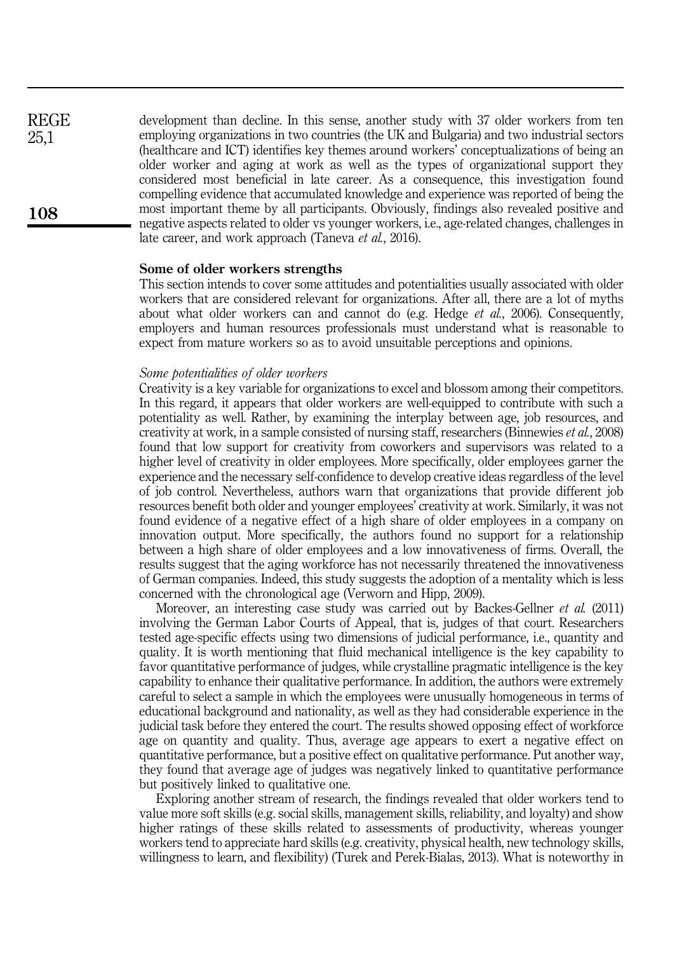development than decline. In this sense, another study with 37 older workers from ten employing organizations in two countries (the UK and Bulgaria) and two industrial sectors (healthcare and ICT) identifies key themes around workers' conceptualizations of being an older worker and aging at work as well as the types of organizational support they considered most beneficial in late career. As a consequence, this investigation found compelling evidence that accumulated knowledge and experience was reported of being the most important theme by all participants. Obviously, findings also revealed positive and negative aspects related to older vs younger workers, i.e., age-related changes, challenges in late career, and work approach (Taneva et al., 2016). REGE 25,1

#### Some of older workers strengths

This section intends to cover some attitudes and potentialities usually associated with older workers that are considered relevant for organizations. After all, there are a lot of myths about what older workers can and cannot do (e.g. Hedge  $et$   $al$ , 2006). Consequently, employers and human resources professionals must understand what is reasonable to expect from mature workers so as to avoid unsuitable perceptions and opinions.

## Some potentialities of older workers

Creativity is a key variable for organizations to excel and blossom among their competitors. In this regard, it appears that older workers are well-equipped to contribute with such a potentiality as well. Rather, by examining the interplay between age, job resources, and creativity at work, in a sample consisted of nursing staff, researchers (Binnewies et al., 2008) found that low support for creativity from coworkers and supervisors was related to a higher level of creativity in older employees. More specifically, older employees garner the experience and the necessary self-confidence to develop creative ideas regardless of the level of job control. Nevertheless, authors warn that organizations that provide different job resources benefit both older and younger employees' creativity at work. Similarly, it was not found evidence of a negative effect of a high share of older employees in a company on innovation output. More specifically, the authors found no support for a relationship between a high share of older employees and a low innovativeness of firms. Overall, the results suggest that the aging workforce has not necessarily threatened the innovativeness of German companies. Indeed, this study suggests the adoption of a mentality which is less concerned with the chronological age (Verworn and Hipp, 2009).

Moreover, an interesting case study was carried out by Backes-Gellner *et al.* (2011) involving the German Labor Courts of Appeal, that is, judges of that court. Researchers tested age-specific effects using two dimensions of judicial performance, i.e., quantity and quality. It is worth mentioning that fluid mechanical intelligence is the key capability to favor quantitative performance of judges, while crystalline pragmatic intelligence is the key capability to enhance their qualitative performance. In addition, the authors were extremely careful to select a sample in which the employees were unusually homogeneous in terms of educational background and nationality, as well as they had considerable experience in the judicial task before they entered the court. The results showed opposing effect of workforce age on quantity and quality. Thus, average age appears to exert a negative effect on quantitative performance, but a positive effect on qualitative performance. Put another way, they found that average age of judges was negatively linked to quantitative performance but positively linked to qualitative one.

Exploring another stream of research, the findings revealed that older workers tend to value more soft skills (e.g. social skills, management skills, reliability, and loyalty) and show higher ratings of these skills related to assessments of productivity, whereas younger workers tend to appreciate hard skills (e.g. creativity, physical health, new technology skills, willingness to learn, and flexibility) (Turek and Perek-Bialas, 2013). What is noteworthy in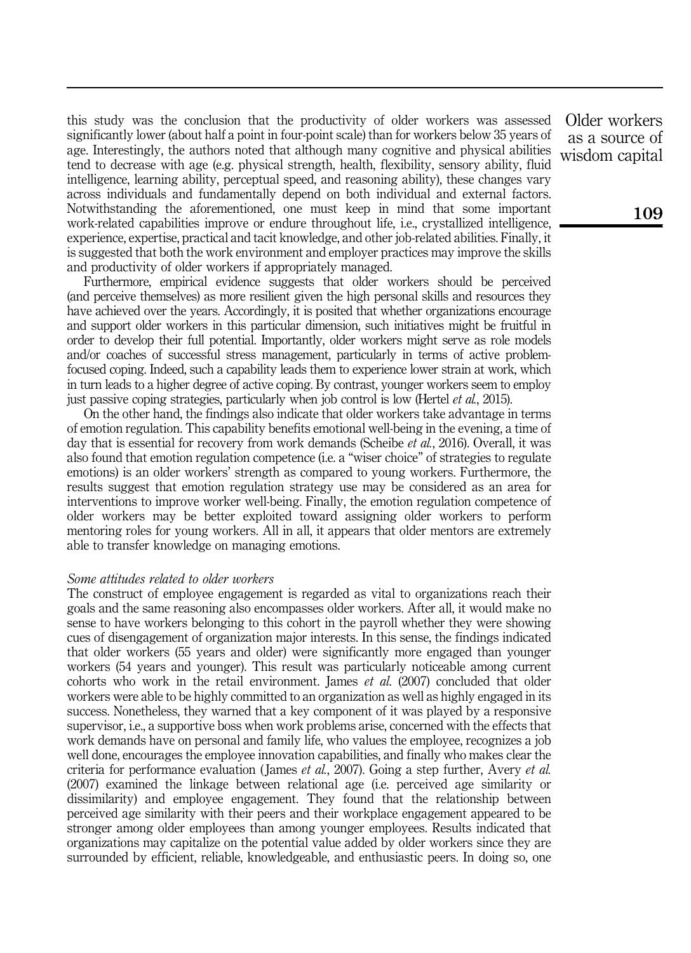this study was the conclusion that the productivity of older workers was assessed significantly lower (about half a point in four-point scale) than for workers below 35 years of age. Interestingly, the authors noted that although many cognitive and physical abilities tend to decrease with age (e.g. physical strength, health, flexibility, sensory ability, fluid intelligence, learning ability, perceptual speed, and reasoning ability), these changes vary across individuals and fundamentally depend on both individual and external factors. Notwithstanding the aforementioned, one must keep in mind that some important work-related capabilities improve or endure throughout life, i.e., crystallized intelligence, experience, expertise, practical and tacit knowledge, and other job-related abilities. Finally, it is suggested that both the work environment and employer practices may improve the skills and productivity of older workers if appropriately managed.

Furthermore, empirical evidence suggests that older workers should be perceived (and perceive themselves) as more resilient given the high personal skills and resources they have achieved over the years. Accordingly, it is posited that whether organizations encourage and support older workers in this particular dimension, such initiatives might be fruitful in order to develop their full potential. Importantly, older workers might serve as role models and/or coaches of successful stress management, particularly in terms of active problemfocused coping. Indeed, such a capability leads them to experience lower strain at work, which in turn leads to a higher degree of active coping. By contrast, younger workers seem to employ just passive coping strategies, particularly when job control is low (Hertel *et al.*, 2015).

On the other hand, the findings also indicate that older workers take advantage in terms of emotion regulation. This capability benefits emotional well-being in the evening, a time of day that is essential for recovery from work demands (Scheibe *et al.*, 2016). Overall, it was also found that emotion regulation competence (i.e. a "wiser choice" of strategies to regulate emotions) is an older workers' strength as compared to young workers. Furthermore, the results suggest that emotion regulation strategy use may be considered as an area for interventions to improve worker well-being. Finally, the emotion regulation competence of older workers may be better exploited toward assigning older workers to perform mentoring roles for young workers. All in all, it appears that older mentors are extremely able to transfer knowledge on managing emotions.

#### Some attitudes related to older workers

The construct of employee engagement is regarded as vital to organizations reach their goals and the same reasoning also encompasses older workers. After all, it would make no sense to have workers belonging to this cohort in the payroll whether they were showing cues of disengagement of organization major interests. In this sense, the findings indicated that older workers (55 years and older) were significantly more engaged than younger workers (54 years and younger). This result was particularly noticeable among current cohorts who work in the retail environment. James et al. (2007) concluded that older workers were able to be highly committed to an organization as well as highly engaged in its success. Nonetheless, they warned that a key component of it was played by a responsive supervisor, i.e., a supportive boss when work problems arise, concerned with the effects that work demands have on personal and family life, who values the employee, recognizes a job well done, encourages the employee innovation capabilities, and finally who makes clear the criteria for performance evaluation (James et al., 2007). Going a step further, Avery et al. (2007) examined the linkage between relational age (i.e. perceived age similarity or dissimilarity) and employee engagement. They found that the relationship between perceived age similarity with their peers and their workplace engagement appeared to be stronger among older employees than among younger employees. Results indicated that organizations may capitalize on the potential value added by older workers since they are surrounded by efficient, reliable, knowledgeable, and enthusiastic peers. In doing so, one

Older workers as a source of wisdom capital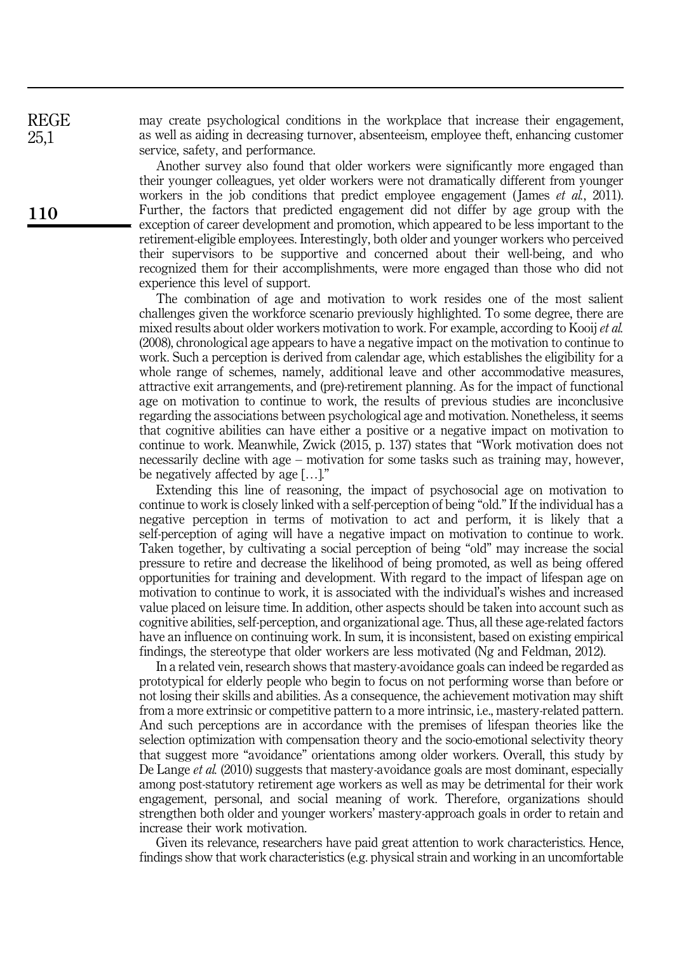may create psychological conditions in the workplace that increase their engagement, as well as aiding in decreasing turnover, absenteeism, employee theft, enhancing customer service, safety, and performance.

Another survey also found that older workers were significantly more engaged than their younger colleagues, yet older workers were not dramatically different from younger workers in the job conditions that predict employee engagement (James *et al.*, 2011). Further, the factors that predicted engagement did not differ by age group with the exception of career development and promotion, which appeared to be less important to the retirement-eligible employees. Interestingly, both older and younger workers who perceived their supervisors to be supportive and concerned about their well-being, and who recognized them for their accomplishments, were more engaged than those who did not experience this level of support.

The combination of age and motivation to work resides one of the most salient challenges given the workforce scenario previously highlighted. To some degree, there are mixed results about older workers motivation to work. For example, according to Kooij et al. (2008), chronological age appears to have a negative impact on the motivation to continue to work. Such a perception is derived from calendar age, which establishes the eligibility for a whole range of schemes, namely, additional leave and other accommodative measures, attractive exit arrangements, and (pre)-retirement planning. As for the impact of functional age on motivation to continue to work, the results of previous studies are inconclusive regarding the associations between psychological age and motivation. Nonetheless, it seems that cognitive abilities can have either a positive or a negative impact on motivation to continue to work. Meanwhile, Zwick (2015, p. 137) states that "Work motivation does not necessarily decline with age – motivation for some tasks such as training may, however, be negatively affected by age […]."

Extending this line of reasoning, the impact of psychosocial age on motivation to continue to work is closely linked with a self-perception of being "old." If the individual has a negative perception in terms of motivation to act and perform, it is likely that a self-perception of aging will have a negative impact on motivation to continue to work. Taken together, by cultivating a social perception of being "old" may increase the social pressure to retire and decrease the likelihood of being promoted, as well as being offered opportunities for training and development. With regard to the impact of lifespan age on motivation to continue to work, it is associated with the individual's wishes and increased value placed on leisure time. In addition, other aspects should be taken into account such as cognitive abilities, self-perception, and organizational age. Thus, all these age-related factors have an influence on continuing work. In sum, it is inconsistent, based on existing empirical findings, the stereotype that older workers are less motivated (Ng and Feldman, 2012).

In a related vein, research shows that mastery-avoidance goals can indeed be regarded as prototypical for elderly people who begin to focus on not performing worse than before or not losing their skills and abilities. As a consequence, the achievement motivation may shift from a more extrinsic or competitive pattern to a more intrinsic, i.e., mastery-related pattern. And such perceptions are in accordance with the premises of lifespan theories like the selection optimization with compensation theory and the socio-emotional selectivity theory that suggest more "avoidance" orientations among older workers. Overall, this study by De Lange *et al.* (2010) suggests that mastery-avoidance goals are most dominant, especially among post-statutory retirement age workers as well as may be detrimental for their work engagement, personal, and social meaning of work. Therefore, organizations should strengthen both older and younger workers' mastery-approach goals in order to retain and increase their work motivation.

Given its relevance, researchers have paid great attention to work characteristics. Hence, findings show that work characteristics (e.g. physical strain and working in an uncomfortable

REGE 25,1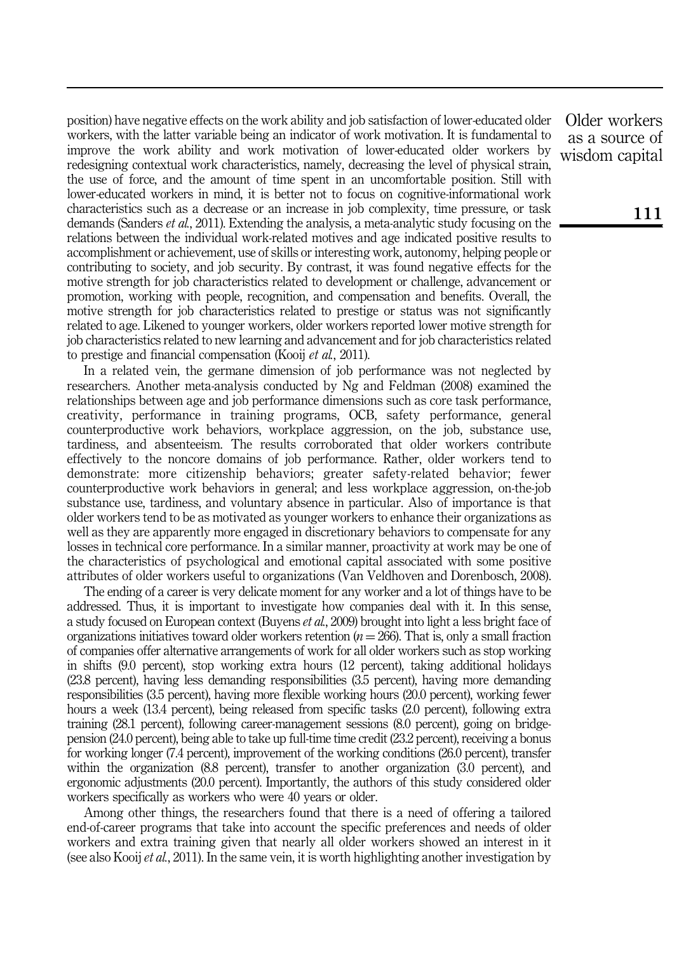position) have negative effects on the work ability and job satisfaction of lower-educated older workers, with the latter variable being an indicator of work motivation. It is fundamental to improve the work ability and work motivation of lower-educated older workers by redesigning contextual work characteristics, namely, decreasing the level of physical strain, the use of force, and the amount of time spent in an uncomfortable position. Still with lower-educated workers in mind, it is better not to focus on cognitive-informational work characteristics such as a decrease or an increase in job complexity, time pressure, or task demands (Sanders *et al.*, 2011). Extending the analysis, a meta-analytic study focusing on the relations between the individual work-related motives and age indicated positive results to accomplishment or achievement, use of skills or interesting work, autonomy, helping people or contributing to society, and job security. By contrast, it was found negative effects for the motive strength for job characteristics related to development or challenge, advancement or promotion, working with people, recognition, and compensation and benefits. Overall, the motive strength for job characteristics related to prestige or status was not significantly related to age. Likened to younger workers, older workers reported lower motive strength for job characteristics related to new learning and advancement and for job characteristics related to prestige and financial compensation (Kooij *et al.*, 2011).

In a related vein, the germane dimension of job performance was not neglected by researchers. Another meta-analysis conducted by Ng and Feldman (2008) examined the relationships between age and job performance dimensions such as core task performance, creativity, performance in training programs, OCB, safety performance, general counterproductive work behaviors, workplace aggression, on the job, substance use, tardiness, and absenteeism. The results corroborated that older workers contribute effectively to the noncore domains of job performance. Rather, older workers tend to demonstrate: more citizenship behaviors; greater safety-related behavior; fewer counterproductive work behaviors in general; and less workplace aggression, on-the-job substance use, tardiness, and voluntary absence in particular. Also of importance is that older workers tend to be as motivated as younger workers to enhance their organizations as well as they are apparently more engaged in discretionary behaviors to compensate for any losses in technical core performance. In a similar manner, proactivity at work may be one of the characteristics of psychological and emotional capital associated with some positive attributes of older workers useful to organizations (Van Veldhoven and Dorenbosch, 2008).

The ending of a career is very delicate moment for any worker and a lot of things have to be addressed. Thus, it is important to investigate how companies deal with it. In this sense, a study focused on European context (Buyens et al., 2009) brought into light a less bright face of organizations initiatives toward older workers retention ( $n = 266$ ). That is, only a small fraction of companies offer alternative arrangements of work for all older workers such as stop working in shifts (9.0 percent), stop working extra hours (12 percent), taking additional holidays (23.8 percent), having less demanding responsibilities (3.5 percent), having more demanding responsibilities (3.5 percent), having more flexible working hours (20.0 percent), working fewer hours a week (13.4 percent), being released from specific tasks (2.0 percent), following extra training (28.1 percent), following career-management sessions (8.0 percent), going on bridgepension (24.0 percent), being able to take up full-time time credit (23.2 percent), receiving a bonus for working longer (7.4 percent), improvement of the working conditions (26.0 percent), transfer within the organization (8.8 percent), transfer to another organization (3.0 percent), and ergonomic adjustments (20.0 percent). Importantly, the authors of this study considered older workers specifically as workers who were 40 years or older.

Among other things, the researchers found that there is a need of offering a tailored end-of-career programs that take into account the specific preferences and needs of older workers and extra training given that nearly all older workers showed an interest in it (see also Kooij *et al.*, 2011). In the same vein, it is worth highlighting another investigation by

Older workers as a source of wisdom capital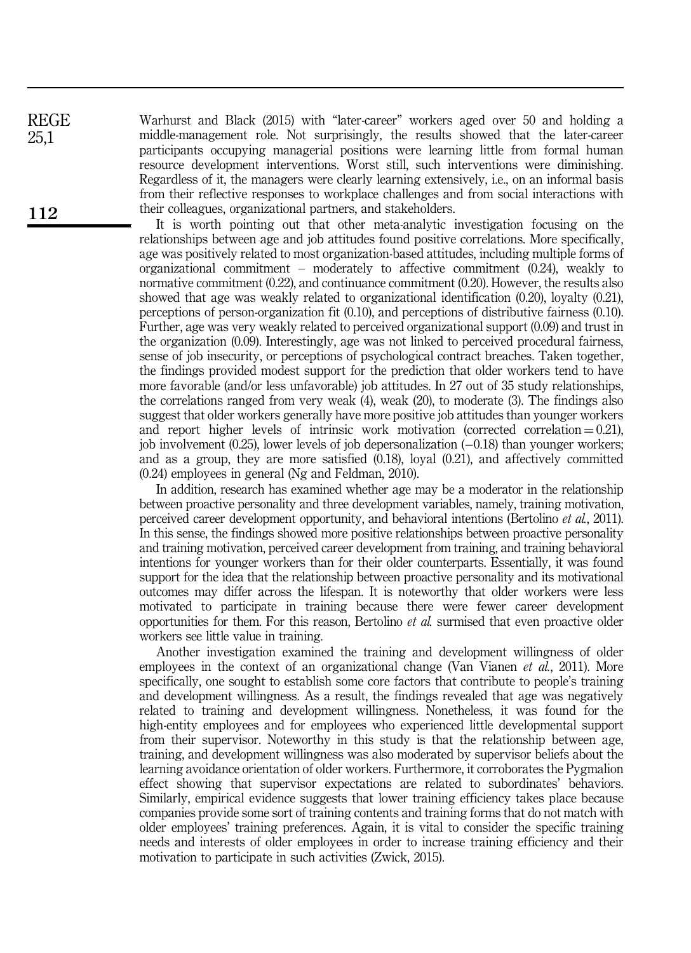Warhurst and Black (2015) with "later-career" workers aged over 50 and holding a middle-management role. Not surprisingly, the results showed that the later-career participants occupying managerial positions were learning little from formal human resource development interventions. Worst still, such interventions were diminishing. Regardless of it, the managers were clearly learning extensively, i.e., on an informal basis from their reflective responses to workplace challenges and from social interactions with their colleagues, organizational partners, and stakeholders.

It is worth pointing out that other meta-analytic investigation focusing on the relationships between age and job attitudes found positive correlations. More specifically, age was positively related to most organization-based attitudes, including multiple forms of organizational commitment – moderately to affective commitment (0.24), weakly to normative commitment (0.22), and continuance commitment (0.20). However, the results also showed that age was weakly related to organizational identification (0.20), loyalty (0.21), perceptions of person-organization fit (0.10), and perceptions of distributive fairness (0.10). Further, age was very weakly related to perceived organizational support (0.09) and trust in the organization (0.09). Interestingly, age was not linked to perceived procedural fairness, sense of job insecurity, or perceptions of psychological contract breaches. Taken together, the findings provided modest support for the prediction that older workers tend to have more favorable (and/or less unfavorable) job attitudes. In 27 out of 35 study relationships, the correlations ranged from very weak (4), weak (20), to moderate (3). The findings also suggest that older workers generally have more positive job attitudes than younger workers and report higher levels of intrinsic work motivation (corrected correlation  $= 0.21$ ), job involvement (0.25), lower levels of job depersonalization (−0.18) than younger workers; and as a group, they are more satisfied (0.18), loyal (0.21), and affectively committed (0.24) employees in general (Ng and Feldman, 2010).

In addition, research has examined whether age may be a moderator in the relationship between proactive personality and three development variables, namely, training motivation, perceived career development opportunity, and behavioral intentions (Bertolino et al., 2011). In this sense, the findings showed more positive relationships between proactive personality and training motivation, perceived career development from training, and training behavioral intentions for younger workers than for their older counterparts. Essentially, it was found support for the idea that the relationship between proactive personality and its motivational outcomes may differ across the lifespan. It is noteworthy that older workers were less motivated to participate in training because there were fewer career development opportunities for them. For this reason, Bertolino et al. surmised that even proactive older workers see little value in training.

Another investigation examined the training and development willingness of older employees in the context of an organizational change (Van Vianen *et al.*, 2011). More specifically, one sought to establish some core factors that contribute to people's training and development willingness. As a result, the findings revealed that age was negatively related to training and development willingness. Nonetheless, it was found for the high-entity employees and for employees who experienced little developmental support from their supervisor. Noteworthy in this study is that the relationship between age, training, and development willingness was also moderated by supervisor beliefs about the learning avoidance orientation of older workers. Furthermore, it corroborates the Pygmalion effect showing that supervisor expectations are related to subordinates' behaviors. Similarly, empirical evidence suggests that lower training efficiency takes place because companies provide some sort of training contents and training forms that do not match with older employees' training preferences. Again, it is vital to consider the specific training needs and interests of older employees in order to increase training efficiency and their motivation to participate in such activities (Zwick, 2015).

REGE 25,1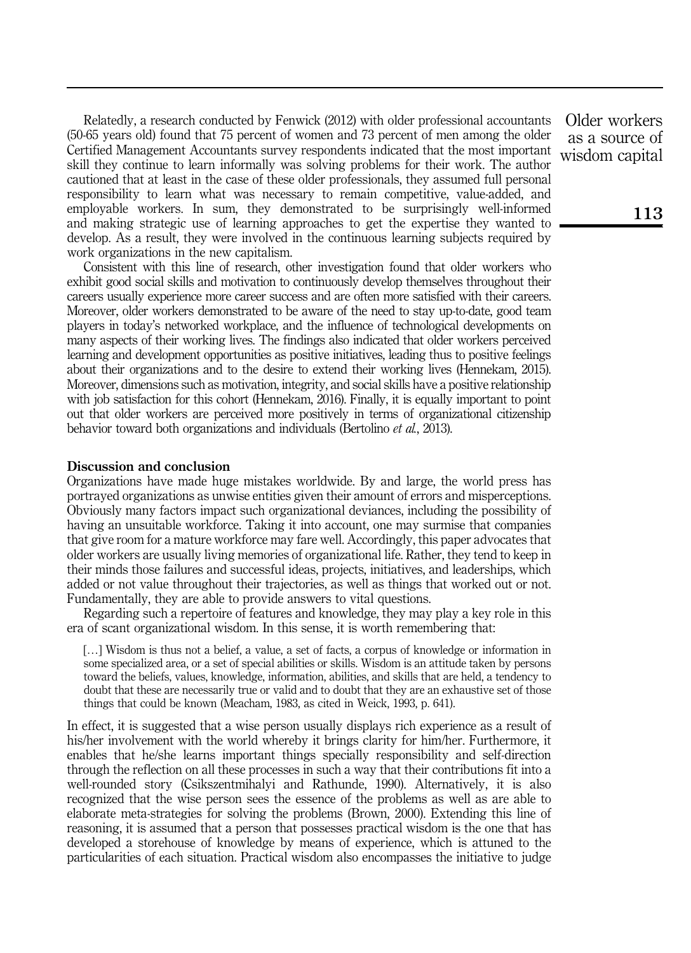Relatedly, a research conducted by Fenwick (2012) with older professional accountants (50-65 years old) found that 75 percent of women and 73 percent of men among the older Certified Management Accountants survey respondents indicated that the most important skill they continue to learn informally was solving problems for their work. The author cautioned that at least in the case of these older professionals, they assumed full personal responsibility to learn what was necessary to remain competitive, value-added, and employable workers. In sum, they demonstrated to be surprisingly well-informed and making strategic use of learning approaches to get the expertise they wanted to develop. As a result, they were involved in the continuous learning subjects required by work organizations in the new capitalism.

Consistent with this line of research, other investigation found that older workers who exhibit good social skills and motivation to continuously develop themselves throughout their careers usually experience more career success and are often more satisfied with their careers. Moreover, older workers demonstrated to be aware of the need to stay up-to-date, good team players in today's networked workplace, and the influence of technological developments on many aspects of their working lives. The findings also indicated that older workers perceived learning and development opportunities as positive initiatives, leading thus to positive feelings about their organizations and to the desire to extend their working lives (Hennekam, 2015). Moreover, dimensions such as motivation, integrity, and social skills have a positive relationship with job satisfaction for this cohort (Hennekam, 2016). Finally, it is equally important to point out that older workers are perceived more positively in terms of organizational citizenship behavior toward both organizations and individuals (Bertolino *et al.*, 2013).

#### Discussion and conclusion

Organizations have made huge mistakes worldwide. By and large, the world press has portrayed organizations as unwise entities given their amount of errors and misperceptions. Obviously many factors impact such organizational deviances, including the possibility of having an unsuitable workforce. Taking it into account, one may surmise that companies that give room for a mature workforce may fare well. Accordingly, this paper advocates that older workers are usually living memories of organizational life. Rather, they tend to keep in their minds those failures and successful ideas, projects, initiatives, and leaderships, which added or not value throughout their trajectories, as well as things that worked out or not. Fundamentally, they are able to provide answers to vital questions.

Regarding such a repertoire of features and knowledge, they may play a key role in this era of scant organizational wisdom. In this sense, it is worth remembering that:

[...] Wisdom is thus not a belief, a value, a set of facts, a corpus of knowledge or information in some specialized area, or a set of special abilities or skills. Wisdom is an attitude taken by persons toward the beliefs, values, knowledge, information, abilities, and skills that are held, a tendency to doubt that these are necessarily true or valid and to doubt that they are an exhaustive set of those things that could be known (Meacham, 1983, as cited in Weick, 1993, p. 641).

In effect, it is suggested that a wise person usually displays rich experience as a result of his/her involvement with the world whereby it brings clarity for him/her. Furthermore, it enables that he/she learns important things specially responsibility and self-direction through the reflection on all these processes in such a way that their contributions fit into a well-rounded story (Csikszentmihalyi and Rathunde, 1990). Alternatively, it is also recognized that the wise person sees the essence of the problems as well as are able to elaborate meta-strategies for solving the problems (Brown, 2000). Extending this line of reasoning, it is assumed that a person that possesses practical wisdom is the one that has developed a storehouse of knowledge by means of experience, which is attuned to the particularities of each situation. Practical wisdom also encompasses the initiative to judge

Older workers as a source of wisdom capital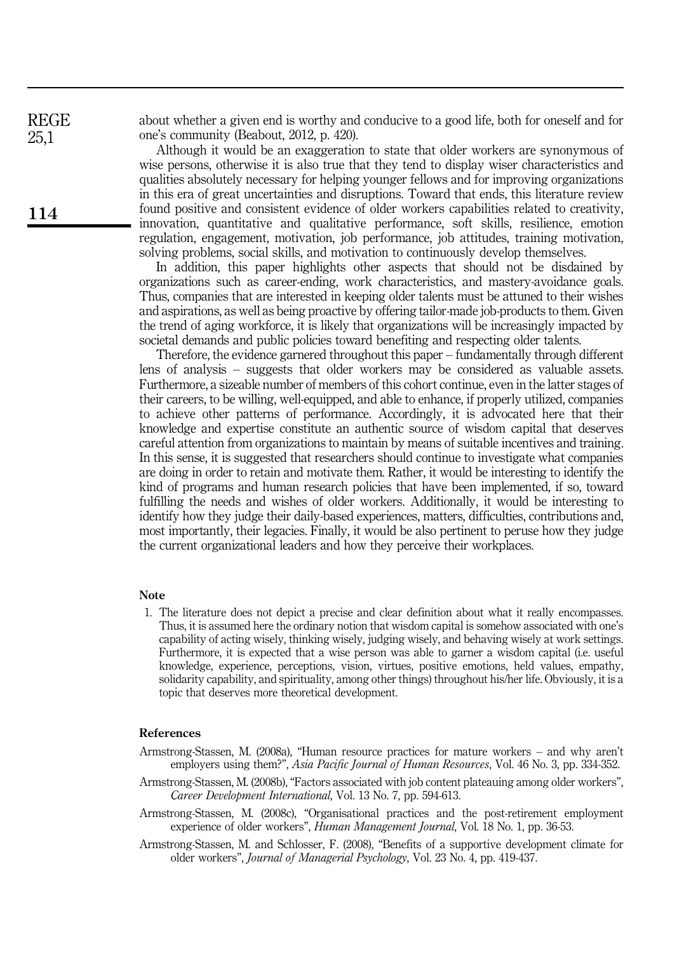about whether a given end is worthy and conducive to a good life, both for oneself and for one's community (Beabout, 2012, p. 420).

Although it would be an exaggeration to state that older workers are synonymous of wise persons, otherwise it is also true that they tend to display wiser characteristics and qualities absolutely necessary for helping younger fellows and for improving organizations in this era of great uncertainties and disruptions. Toward that ends, this literature review found positive and consistent evidence of older workers capabilities related to creativity, innovation, quantitative and qualitative performance, soft skills, resilience, emotion regulation, engagement, motivation, job performance, job attitudes, training motivation, solving problems, social skills, and motivation to continuously develop themselves.

In addition, this paper highlights other aspects that should not be disdained by organizations such as career-ending, work characteristics, and mastery-avoidance goals. Thus, companies that are interested in keeping older talents must be attuned to their wishes and aspirations, as well as being proactive by offering tailor-made job-products to them. Given the trend of aging workforce, it is likely that organizations will be increasingly impacted by societal demands and public policies toward benefiting and respecting older talents.

Therefore, the evidence garnered throughout this paper – fundamentally through different lens of analysis – suggests that older workers may be considered as valuable assets. Furthermore, a sizeable number of members of this cohort continue, even in the latter stages of their careers, to be willing, well-equipped, and able to enhance, if properly utilized, companies to achieve other patterns of performance. Accordingly, it is advocated here that their knowledge and expertise constitute an authentic source of wisdom capital that deserves careful attention from organizations to maintain by means of suitable incentives and training. In this sense, it is suggested that researchers should continue to investigate what companies are doing in order to retain and motivate them. Rather, it would be interesting to identify the kind of programs and human research policies that have been implemented, if so, toward fulfilling the needs and wishes of older workers. Additionally, it would be interesting to identify how they judge their daily-based experiences, matters, difficulties, contributions and, most importantly, their legacies. Finally, it would be also pertinent to peruse how they judge the current organizational leaders and how they perceive their workplaces.

## Note

1. The literature does not depict a precise and clear definition about what it really encompasses. Thus, it is assumed here the ordinary notion that wisdom capital is somehow associated with one's capability of acting wisely, thinking wisely, judging wisely, and behaving wisely at work settings. Furthermore, it is expected that a wise person was able to garner a wisdom capital (i.e. useful knowledge, experience, perceptions, vision, virtues, positive emotions, held values, empathy, solidarity capability, and spirituality, among other things) throughout his/her life. Obviously, it is a topic that deserves more theoretical development.

## References

- Armstrong-Stassen, M. (2008a), "Human resource practices for mature workers and why aren't employers using them?", Asia Pacific Journal of Human Resources, Vol. 46 No. 3, pp. 334-352.
- Armstrong-Stassen, M. (2008b), "Factors associated with job content plateauing among older workers", Career Development International, Vol. 13 No. 7, pp. 594-613.
- Armstrong-Stassen, M. (2008c), "Organisational practices and the post-retirement employment experience of older workers", *Human Management Journal*, Vol. 18 No. 1, pp. 36-53.
- Armstrong-Stassen, M. and Schlosser, F. (2008), "Benefits of a supportive development climate for older workers", Journal of Managerial Psychology, Vol. 23 No. 4, pp. 419-437.

114

REGE 25,1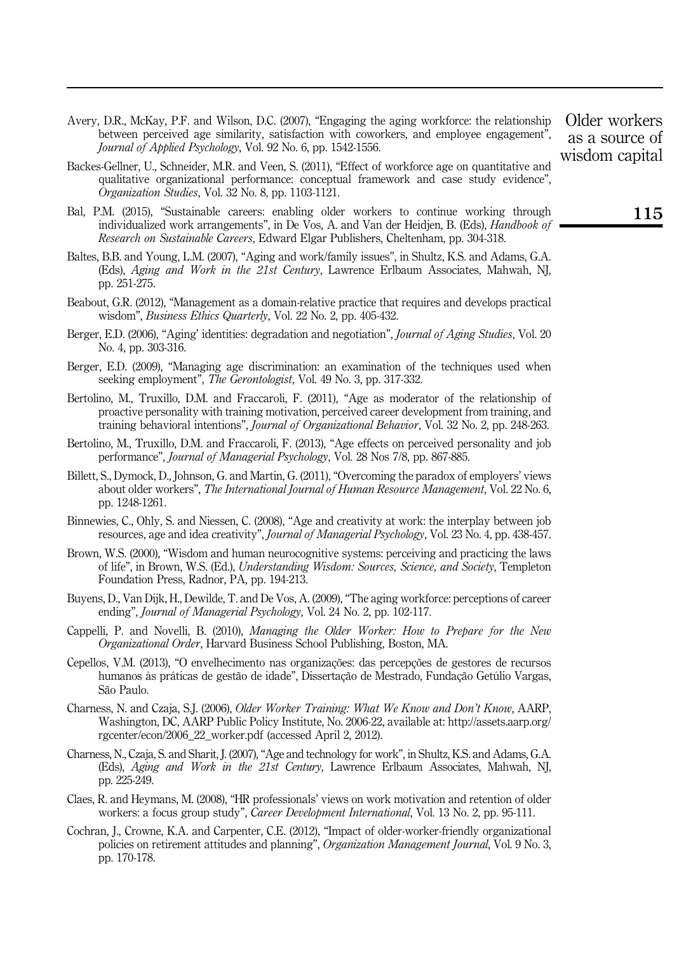- Avery, D.R., McKay, P.F. and Wilson, D.C. (2007), "Engaging the aging workforce: the relationship between perceived age similarity, satisfaction with coworkers, and employee engagement", Journal of Applied Psychology, Vol. 92 No. 6, pp. 1542-1556.
- Backes-Gellner, U., Schneider, M.R. and Veen, S. (2011), "Effect of workforce age on quantitative and qualitative organizational performance: conceptual framework and case study evidence", Organization Studies, Vol. 32 No. 8, pp. 1103-1121.
- Bal, P.M. (2015), "Sustainable careers: enabling older workers to continue working through individualized work arrangements", in De Vos, A. and Van der Heidjen, B. (Eds), *Handbook of* Research on Sustainable Careers, Edward Elgar Publishers, Cheltenham, pp. 304-318.
- Baltes, B.B. and Young, L.M. (2007), "Aging and work/family issues", in Shultz, K.S. and Adams, G.A. (Eds), Aging and Work in the 21st Century, Lawrence Erlbaum Associates, Mahwah, NJ, pp. 251-275.
- Beabout, G.R. (2012), "Management as a domain-relative practice that requires and develops practical wisdom", Business Ethics Quarterly, Vol. 22 No. 2, pp. 405-432.
- Berger, E.D. (2006), "Aging' identities: degradation and negotiation", *Journal of Aging Studies*, Vol. 20 No. 4, pp. 303-316.
- Berger, E.D. (2009), "Managing age discrimination: an examination of the techniques used when seeking employment". *The Gerontologist*, Vol. 49 No. 3, pp. 317-332.
- Bertolino, M., Truxillo, D.M. and Fraccaroli, F. (2011), "Age as moderator of the relationship of proactive personality with training motivation, perceived career development from training, and training behavioral intentions", Journal of Organizational Behavior, Vol. 32 No. 2, pp. 248-263.
- Bertolino, M., Truxillo, D.M. and Fraccaroli, F. (2013), "Age effects on perceived personality and job performance", Journal of Managerial Psychology, Vol. 28 Nos 7/8, pp. 867-885.
- Billett, S., Dymock, D., Johnson, G. and Martin, G. (2011), "Overcoming the paradox of employers' views about older workers", The International Journal of Human Resource Management, Vol. 22 No. 6, pp. 1248-1261.
- Binnewies, C., Ohly, S. and Niessen, C. (2008), "Age and creativity at work: the interplay between job resources, age and idea creativity", Journal of Managerial Psychology, Vol. 23 No. 4, pp. 438-457.
- Brown, W.S. (2000), "Wisdom and human neurocognitive systems: perceiving and practicing the laws of life", in Brown, W.S. (Ed.), Understanding Wisdom: Sources, Science, and Society, Templeton Foundation Press, Radnor, PA, pp. 194-213.
- Buyens, D., Van Dijk, H., Dewilde, T. and De Vos, A. (2009), "The aging workforce: perceptions of career ending", Journal of Managerial Psychology, Vol. 24 No. 2, pp. 102-117.
- Cappelli, P. and Novelli, B. (2010), Managing the Older Worker: How to Prepare for the New Organizational Order, Harvard Business School Publishing, Boston, MA.
- Cepellos, V.M. (2013), "O envelhecimento nas organizações: das percepções de gestores de recursos humanos às práticas de gestão de idade", Dissertação de Mestrado, Fundação Getúlio Vargas, São Paulo.
- Charness, N. and Czaja, S.J. (2006), Older Worker Training: What We Know and Don't Know, AARP, Washington, DC, AARP Public Policy Institute, No. 2006-22, available at: [http://assets.aarp.org/](http://assets.aarp.org/rgcenter/econ/2006_22_worker.pdf) [rgcenter/econ/2006\\_22\\_worker.pdf](http://assets.aarp.org/rgcenter/econ/2006_22_worker.pdf) (accessed April 2, 2012).
- Charness, N., Czaja, S. and Sharit, J. (2007), "Age and technology for work", in Shultz, K.S. and Adams, G.A. (Eds), Aging and Work in the 21st Century, Lawrence Erlbaum Associates, Mahwah, NJ, pp. 225-249.
- Claes, R. and Heymans, M. (2008), "HR professionals' views on work motivation and retention of older workers: a focus group study", *Career Development International*, Vol. 13 No. 2, pp. 95-111.
- Cochran, J., Crowne, K.A. and Carpenter, C.E. (2012), "Impact of older-worker-friendly organizational policies on retirement attitudes and planning", Organization Management Journal, Vol. 9 No. 3, pp. 170-178.

Older workers as a source of wisdom capital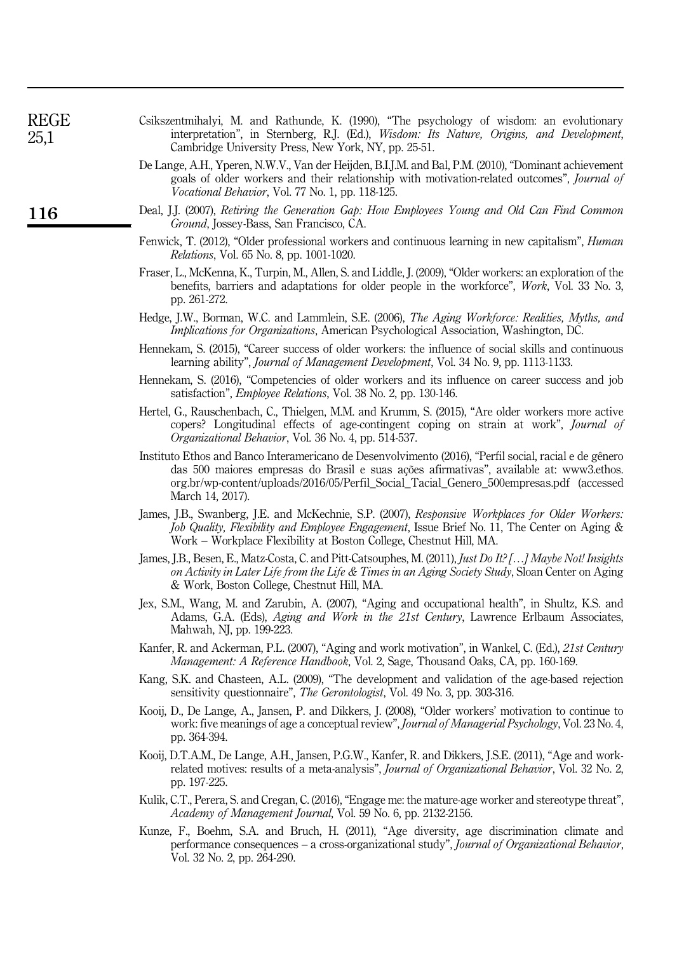| REGE<br>25,1 | Csikszentmihalyi, M. and Rathunde, K. (1990), "The psychology of wisdom: an evolutionary<br>interpretation", in Sternberg, R.J. (Ed.), Wisdom: Its Nature, Origins, and Development,<br>Cambridge University Press, New York, NY, pp. 25-51.                                                                     |
|--------------|------------------------------------------------------------------------------------------------------------------------------------------------------------------------------------------------------------------------------------------------------------------------------------------------------------------|
|              | De Lange, A.H., Yperen, N.W.V., Van der Heijden, B.I.J.M. and Bal, P.M. (2010), "Dominant achievement<br>goals of older workers and their relationship with motivation-related outcomes", Journal of<br>Vocational Behavior, Vol. 77 No. 1, pp. 118-125.                                                         |
| 116          | Deal, J.J. (2007), Retiring the Generation Gap: How Employees Young and Old Can Find Common<br><i>Ground</i> , Jossey-Bass, San Francisco, CA.                                                                                                                                                                   |
|              | Fenwick, T. (2012), "Older professional workers and continuous learning in new capitalism", <i>Human</i><br><i>Relations</i> , Vol. 65 No. 8, pp. 1001-1020.                                                                                                                                                     |
|              | Fraser, L., McKenna, K., Turpin, M., Allen, S. and Liddle, J. (2009), "Older workers: an exploration of the<br>benefits, barriers and adaptations for older people in the workforce", Work, Vol. 33 No. 3,<br>pp. 261-272.                                                                                       |
|              | Hedge, J.W., Borman, W.C. and Lammlein, S.E. (2006), The Aging Workforce: Realities, Myths, and<br><i>Implications for Organizations</i> , American Psychological Association, Washington, DC.                                                                                                                   |
|              | Hennekam, S. (2015), "Career success of older workers: the influence of social skills and continuous<br>learning ability", <i>Journal of Management Development</i> , Vol. 34 No. 9, pp. 1113-1133.                                                                                                              |
|              | Hennekam, S. (2016), "Competencies of older workers and its influence on career success and job<br>satisfaction", <i>Employee Relations</i> , Vol. 38 No. 2, pp. 130-146.                                                                                                                                        |
|              | Hertel, G., Rauschenbach, C., Thielgen, M.M. and Krumm, S. (2015), "Are older workers more active<br>copers? Longitudinal effects of age-contingent coping on strain at work", <i>Journal of</i><br>Organizational Behavior, Vol. 36 No. 4, pp. 514-537.                                                         |
|              | Instituto Ethos and Banco Interamericano de Desenvolvimento (2016), "Perfil social, racial e de gênero<br>das 500 maiores empresas do Brasil e suas ações afirmativas", available at: www3.ethos.<br>org.br/wp-content/uploads/2016/05/Perfil_Social_Tacial_Genero_500empresas.pdf (accessed<br>March 14, 2017). |
|              | James, J.B., Swanberg, J.E. and McKechnie, S.P. (2007), Responsive Workplaces for Older Workers:<br>Job Quality, Flexibility and Employee Engagement, Issue Brief No. 11, The Center on Aging &<br>Work – Workplace Flexibility at Boston College, Chestnut Hill, MA.                                            |
|              | James, J.B., Besen, E., Matz-Costa, C. and Pitt-Catsouphes, M. (2011), <i>Just Do It?</i> [] Maybe Not! Insights<br>on Activity in Later Life from the Life & Times in an Aging Society Study, Sloan Center on Aging<br>& Work, Boston College, Chestnut Hill, MA.                                               |
|              | Jex, S.M., Wang, M. and Zarubin, A. (2007), "Aging and occupational health", in Shultz, K.S. and<br>Adams, G.A. (Eds), Aging and Work in the 21st Century, Lawrence Erlbaum Associates,<br>Mahwah, NJ, pp. 199-223.                                                                                              |
|              | Kanfer, R. and Ackerman, P.L. (2007), "Aging and work motivation", in Wankel, C. (Ed.), 21st Century<br><i>Management: A Reference Handbook, Vol. 2, Sage, Thousand Oaks, CA, pp. 160-169.</i>                                                                                                                   |
|              | Kang, S.K. and Chasteen, A.L. (2009), "The development and validation of the age-based rejection<br>sensitivity questionnaire", <i>The Gerontologist</i> , Vol. 49 No. 3, pp. 303-316.                                                                                                                           |
|              | Kooij, D., De Lange, A., Jansen, P. and Dikkers, J. (2008), "Older workers' motivation to continue to<br>work: five meanings of age a conceptual review", <i>Journal of Managerial Psychology</i> , Vol. 23 No. 4,<br>pp. 364-394.                                                                               |
|              | Kooij, D.T.A.M., De Lange, A.H., Jansen, P.G.W., Kanfer, R. and Dikkers, J.S.E. (2011), "Age and work-<br>related motives: results of a meta-analysis", Journal of Organizational Behavior, Vol. 32 No. 2,<br>pp. 197-225.                                                                                       |
|              | Kulik, C.T., Perera, S. and Cregan, C. (2016), "Engage me: the mature-age worker and stereotype threat",<br>Academy of Management Journal, Vol. 59 No. 6, pp. 2132-2156.                                                                                                                                         |
|              | Kunze, F., Boehm, S.A. and Bruch, H. (2011), "Age diversity, age discrimination climate and<br>performance consequences - a cross-organizational study", Journal of Organizational Behavior,<br>Vol. 32 No. 2, pp. 264-290.                                                                                      |
|              |                                                                                                                                                                                                                                                                                                                  |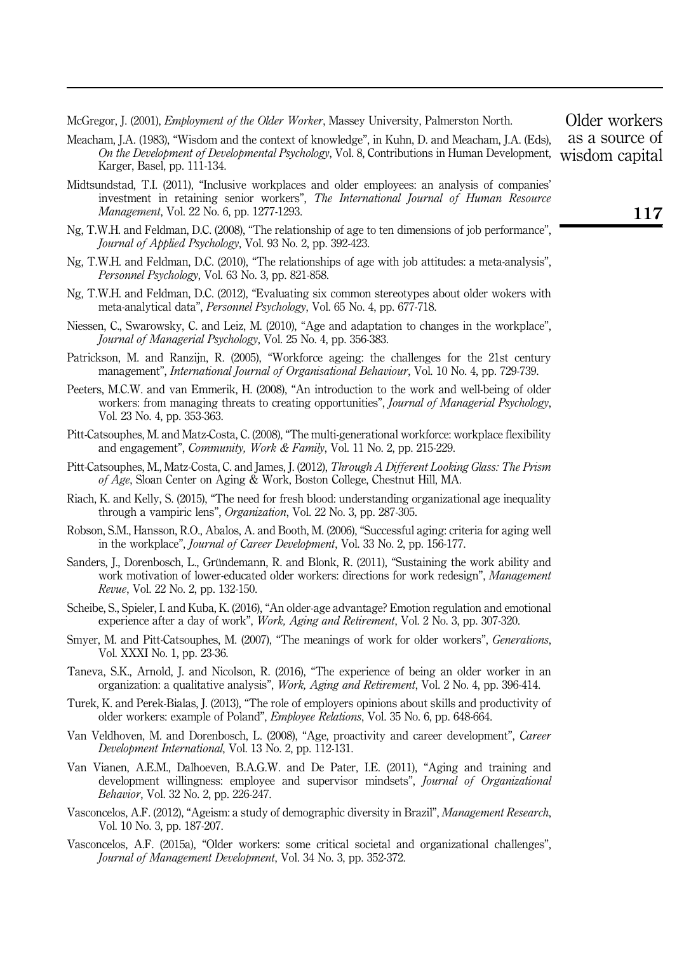McGregor, J. (2001), *Employment of the Older Worker*, Massey University, Palmerston North.

- Meacham, J.A. (1983), "Wisdom and the context of knowledge", in Kuhn, D. and Meacham, J.A. (Eds), On the Development of Developmental Psychology, Vol. 8, Contributions in Human Development, wisdom capital<br>Kannan Basal an 111124 Karger, Basel, pp. 111-134.
- Midtsundstad, T.I. (2011), "Inclusive workplaces and older employees: an analysis of companies' investment in retaining senior workers", The International Journal of Human Resource Management, Vol. 22 No. 6, pp. 1277-1293.
- Ng, T.W.H. and Feldman, D.C. (2008), "The relationship of age to ten dimensions of job performance", Journal of Applied Psychology, Vol. 93 No. 2, pp. 392-423.
- Ng, T.W.H. and Feldman, D.C. (2010), "The relationships of age with job attitudes: a meta-analysis", Personnel Psychology, Vol. 63 No. 3, pp. 821-858.
- Ng, T.W.H. and Feldman, D.C. (2012), "Evaluating six common stereotypes about older wokers with meta-analytical data", Personnel Psychology, Vol. 65 No. 4, pp. 677-718.
- Niessen, C., Swarowsky, C. and Leiz, M. (2010), "Age and adaptation to changes in the workplace", Journal of Managerial Psychology, Vol. 25 No. 4, pp. 356-383.
- Patrickson, M. and Ranzijn, R. (2005), "Workforce ageing: the challenges for the 21st century management", International Journal of Organisational Behaviour, Vol. 10 No. 4, pp. 729-739.
- Peeters, M.C.W. and van Emmerik, H. (2008), "An introduction to the work and well-being of older workers: from managing threats to creating opportunities", *Journal of Managerial Psychology*, Vol. 23 No. 4, pp. 353-363.
- Pitt-Catsouphes, M. and Matz-Costa, C. (2008), "The multi-generational workforce: workplace flexibility and engagement", Community, Work & Family, Vol. 11 No. 2, pp. 215-229.
- Pitt-Catsouphes, M., Matz-Costa, C. and James, J. (2012), Through A Different Looking Glass: The Prism of Age, Sloan Center on Aging & Work, Boston College, Chestnut Hill, MA.
- Riach, K. and Kelly, S. (2015), "The need for fresh blood: understanding organizational age inequality through a vampiric lens", Organization, Vol. 22 No. 3, pp. 287-305.
- Robson, S.M., Hansson, R.O., Abalos, A. and Booth, M. (2006), "Successful aging: criteria for aging well in the workplace", Journal of Career Development, Vol. 33 No. 2, pp. 156-177.
- Sanders, J., Dorenbosch, L., Gründemann, R. and Blonk, R. (2011), "Sustaining the work ability and work motivation of lower-educated older workers: directions for work redesign", Management Revue, Vol. 22 No. 2, pp. 132-150.
- Scheibe, S., Spieler, I. and Kuba, K. (2016), "An older-age advantage? Emotion regulation and emotional experience after a day of work", *Work, Aging and Retirement*, Vol. 2 No. 3, pp. 307-320.
- Smyer, M. and Pitt-Catsouphes, M. (2007), "The meanings of work for older workers", *Generations*, Vol. XXXI No. 1, pp. 23-36.
- Taneva, S.K., Arnold, J. and Nicolson, R. (2016), "The experience of being an older worker in an organization: a qualitative analysis", Work, Aging and Retirement, Vol. 2 No. 4, pp. 396-414.
- Turek, K. and Perek-Bialas, J. (2013), "The role of employers opinions about skills and productivity of older workers: example of Poland", Employee Relations, Vol. 35 No. 6, pp. 648-664.
- Van Veldhoven, M. and Dorenbosch, L. (2008), "Age, proactivity and career development", Career Development International, Vol. 13 No. 2, pp. 112-131.
- Van Vianen, A.E.M., Dalhoeven, B.A.G.W. and De Pater, I.E. (2011), "Aging and training and development willingness: employee and supervisor mindsets", *Journal of Organizational* Behavior, Vol. 32 No. 2, pp. 226-247.
- Vasconcelos, A.F. (2012), "Ageism: a study of demographic diversity in Brazil", Management Research, Vol. 10 No. 3, pp. 187-207.
- Vasconcelos, A.F. (2015a), "Older workers: some critical societal and organizational challenges", Journal of Management Development, Vol. 34 No. 3, pp. 352-372.

Older workers as a source of